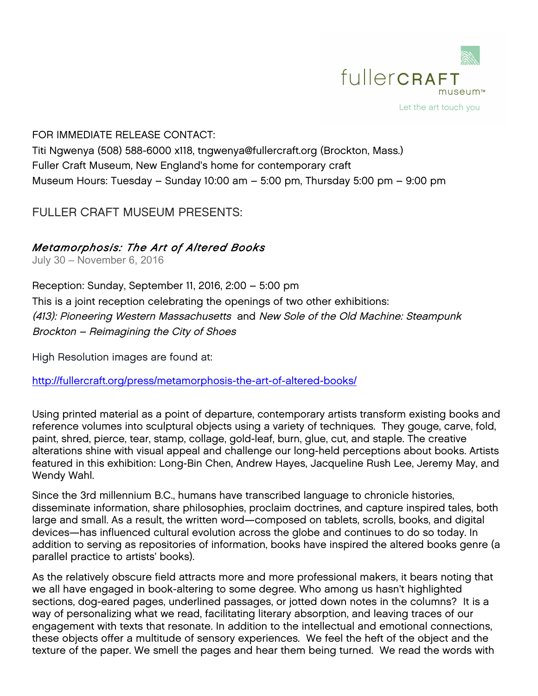

### FOR IMMEDIATE RELEASE CONTACT:

Titi Ngwenya (508) 588-6000 x118, tngwenya@fullercraft.org (Brockton, Mass.) Fuller Craft Museum, New England's home for contemporary craft Museum Hours: Tuesday – Sunday 10:00 am – 5:00 pm, Thursday 5:00 pm – 9:00 pm

# FULLER CRAFT MUSEUM PRESENTS:

## *Metamorphosis: The Art of Altered Books*

July 30 – November 6, 2016

Reception: Sunday, September 11, 2016, 2:00 – 5:00 pm This is a joint reception celebrating the openings of two other exhibitions: (413): Pioneering Western Massachusetts and New Sole of the Old Machine: Steampunk Brockton – Reimagining the City of Shoes

High Resolution images are found at:

http://fullercraft.org/press/metamorphosis-the-art-of-altered-books/

Using printed material as a point of departure, contemporary artists transform existing books and reference volumes into sculptural objects using a variety of techniques. They gouge, carve, fold, paint, shred, pierce, tear, stamp, collage, gold-leaf, burn, glue, cut, and staple. The creative alterations shine with visual appeal and challenge our long-held perceptions about books. Artists featured in this exhibition: Long-Bin Chen, Andrew Hayes, Jacqueline Rush Lee, Jeremy May, and Wendy Wahl.

Since the 3rd millennium B.C., humans have transcribed language to chronicle histories, disseminate information, share philosophies, proclaim doctrines, and capture inspired tales, both large and small. As a result, the written word—composed on tablets, scrolls, books, and digital devices—has influenced cultural evolution across the globe and continues to do so today. In addition to serving as repositories of information, books have inspired the altered books genre (a parallel practice to artists' books).

As the relatively obscure field attracts more and more professional makers, it bears noting that we all have engaged in book-altering to some degree. Who among us hasn't highlighted sections, dog-eared pages, underlined passages, or jotted down notes in the columns? It is a way of personalizing what we read, facilitating literary absorption, and leaving traces of our engagement with texts that resonate. In addition to the intellectual and emotional connections, these objects offer a multitude of sensory experiences. We feel the heft of the object and the texture of the paper. We smell the pages and hear them being turned. We read the words with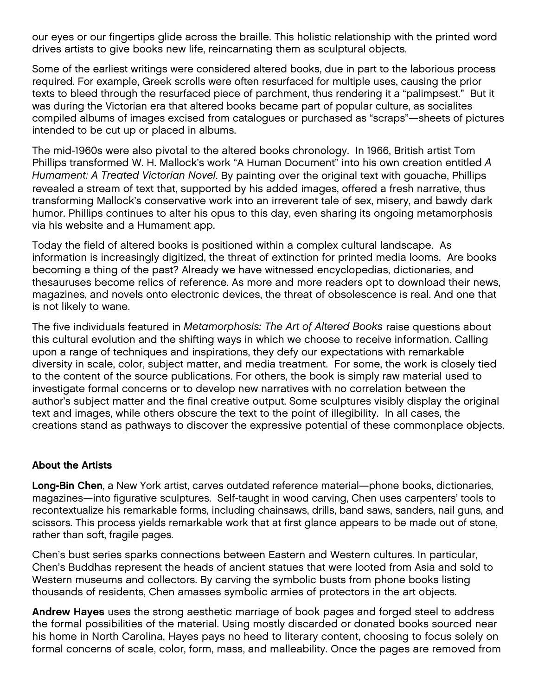our eyes or our fingertips glide across the braille. This holistic relationship with the printed word drives artists to give books new life, reincarnating them as sculptural objects.

Some of the earliest writings were considered altered books, due in part to the laborious process required. For example, Greek scrolls were often resurfaced for multiple uses, causing the prior texts to bleed through the resurfaced piece of parchment, thus rendering it a "palimpsest." But it was during the Victorian era that altered books became part of popular culture, as socialites compiled albums of images excised from catalogues or purchased as "scraps"—sheets of pictures intended to be cut up or placed in albums.

The mid-1960s were also pivotal to the altered books chronology. In 1966, British artist Tom Phillips transformed W. H. Mallock's work "A Human Document" into his own creation entitled *A Humament: A Treated Victorian Novel*. By painting over the original text with gouache, Phillips revealed a stream of text that, supported by his added images, offered a fresh narrative, thus transforming Mallock's conservative work into an irreverent tale of sex, misery, and bawdy dark humor. Phillips continues to alter his opus to this day, even sharing its ongoing metamorphosis via his website and a Humament app.

Today the field of altered books is positioned within a complex cultural landscape. As information is increasingly digitized, the threat of extinction for printed media looms. Are books becoming a thing of the past? Already we have witnessed encyclopedias, dictionaries, and thesauruses become relics of reference. As more and more readers opt to download their news, magazines, and novels onto electronic devices, the threat of obsolescence is real. And one that is not likely to wane.

The five individuals featured in *Metamorphosis: The Art of Altered Books* raise questions about this cultural evolution and the shifting ways in which we choose to receive information. Calling upon a range of techniques and inspirations, they defy our expectations with remarkable diversity in scale, color, subject matter, and media treatment. For some, the work is closely tied to the content of the source publications. For others, the book is simply raw material used to investigate formal concerns or to develop new narratives with no correlation between the author's subject matter and the final creative output. Some sculptures visibly display the original text and images, while others obscure the text to the point of illegibility. In all cases, the creations stand as pathways to discover the expressive potential of these commonplace objects.

#### About the Artists

Long-Bin Chen, a New York artist, carves outdated reference material—phone books, dictionaries, magazines—into figurative sculptures. Self-taught in wood carving, Chen uses carpenters' tools to recontextualize his remarkable forms, including chainsaws, drills, band saws, sanders, nail guns, and scissors. This process yields remarkable work that at first glance appears to be made out of stone, rather than soft, fragile pages.

Chen's bust series sparks connections between Eastern and Western cultures. In particular, Chen's Buddhas represent the heads of ancient statues that were looted from Asia and sold to Western museums and collectors. By carving the symbolic busts from phone books listing thousands of residents, Chen amasses symbolic armies of protectors in the art objects.

Andrew Hayes uses the strong aesthetic marriage of book pages and forged steel to address the formal possibilities of the material. Using mostly discarded or donated books sourced near his home in North Carolina, Hayes pays no heed to literary content, choosing to focus solely on formal concerns of scale, color, form, mass, and malleability. Once the pages are removed from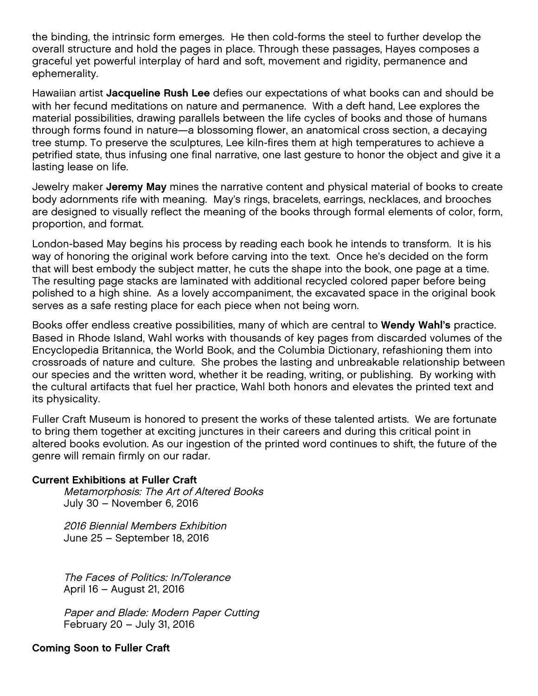the binding, the intrinsic form emerges. He then cold-forms the steel to further develop the overall structure and hold the pages in place. Through these passages, Hayes composes a graceful yet powerful interplay of hard and soft, movement and rigidity, permanence and ephemerality.

Hawaiian artist Jacqueline Rush Lee defies our expectations of what books can and should be with her fecund meditations on nature and permanence. With a deft hand, Lee explores the material possibilities, drawing parallels between the life cycles of books and those of humans through forms found in nature—a blossoming flower, an anatomical cross section, a decaying tree stump. To preserve the sculptures, Lee kiln-fires them at high temperatures to achieve a petrified state, thus infusing one final narrative, one last gesture to honor the object and give it a lasting lease on life.

Jewelry maker Jeremy May mines the narrative content and physical material of books to create body adornments rife with meaning. May's rings, bracelets, earrings, necklaces, and brooches are designed to visually reflect the meaning of the books through formal elements of color, form, proportion, and format.

London-based May begins his process by reading each book he intends to transform. It is his way of honoring the original work before carving into the text. Once he's decided on the form that will best embody the subject matter, he cuts the shape into the book, one page at a time. The resulting page stacks are laminated with additional recycled colored paper before being polished to a high shine. As a lovely accompaniment, the excavated space in the original book serves as a safe resting place for each piece when not being worn.

Books offer endless creative possibilities, many of which are central to **Wendy Wahl's** practice. Based in Rhode Island, Wahl works with thousands of key pages from discarded volumes of the Encyclopedia Britannica, the World Book, and the Columbia Dictionary, refashioning them into crossroads of nature and culture. She probes the lasting and unbreakable relationship between our species and the written word, whether it be reading, writing, or publishing. By working with the cultural artifacts that fuel her practice, Wahl both honors and elevates the printed text and its physicality.

Fuller Craft Museum is honored to present the works of these talented artists. We are fortunate to bring them together at exciting junctures in their careers and during this critical point in altered books evolution. As our ingestion of the printed word continues to shift, the future of the genre will remain firmly on our radar.

#### Current Exhibitions at Fuller Craft

Metamorphosis: The Art of Altered Books July 30 – November 6, 2016

2016 Biennial Members Exhibition June 25 – September 18, 2016

The Faces of Politics: In/Tolerance April 16 – August 21, 2016

Paper and Blade: Modern Paper Cutting February 20 – July 31, 2016

#### Coming Soon to Fuller Craft